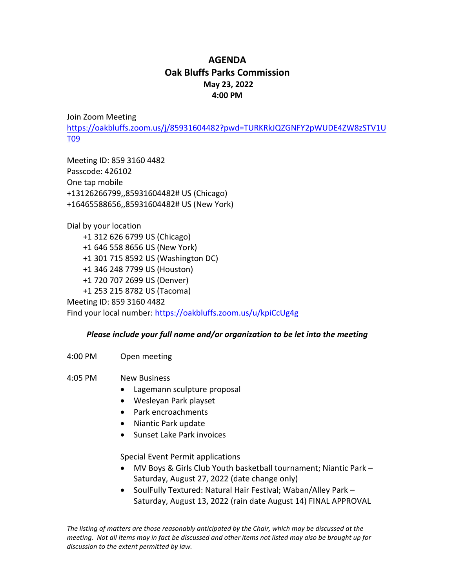## **AGENDA Oak Bluffs Parks Commission May 23, 2022 4:00 PM**

Join Zoom Meeting [https://oakbluffs.zoom.us/j/85931604482?pwd=TURKRkJQZGNFY2pWUDE4ZW8zSTV1U](https://oakbluffs.zoom.us/j/85931604482?pwd=TURKRkJQZGNFY2pWUDE4ZW8zSTV1UT09) [T09](https://oakbluffs.zoom.us/j/85931604482?pwd=TURKRkJQZGNFY2pWUDE4ZW8zSTV1UT09)

Meeting ID: 859 3160 4482 Passcode: 426102 One tap mobile +13126266799,,85931604482# US (Chicago) +16465588656,,85931604482# US (New York)

Dial by your location +1 312 626 6799 US (Chicago) +1 646 558 8656 US (New York) +1 301 715 8592 US (Washington DC) +1 346 248 7799 US (Houston) +1 720 707 2699 US (Denver) +1 253 215 8782 US (Tacoma) Meeting ID: 859 3160 4482 Find your local number:<https://oakbluffs.zoom.us/u/kpiCcUg4g>

## *Please include your full name and/or organization to be let into the meeting*

4:00 PM Open meeting

4:05 PM New Business

- Lagemann sculpture proposal
- Wesleyan Park playset
- Park encroachments
- Niantic Park update
- Sunset Lake Park invoices

Special Event Permit applications

- MV Boys & Girls Club Youth basketball tournament; Niantic Park Saturday, August 27, 2022 (date change only)
- SoulFully Textured: Natural Hair Festival; Waban/Alley Park Saturday, August 13, 2022 (rain date August 14) FINAL APPROVAL

*The listing of matters are those reasonably anticipated by the Chair, which may be discussed at the meeting. Not all items may in fact be discussed and other items not listed may also be brought up for discussion to the extent permitted by law.*